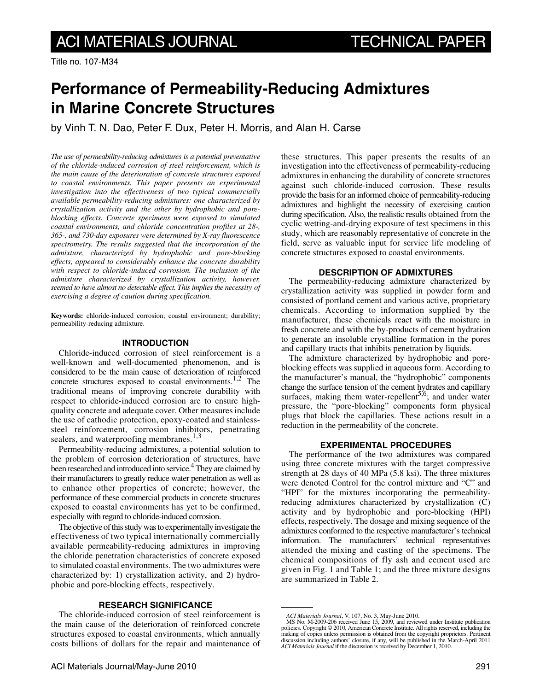# **Performance of Permeability-Reducing Admixtures in Marine Concrete Structures**

by Vinh T. N. Dao, Peter F. Dux, Peter H. Morris, and Alan H. Carse

*The use of permeability-reducing admixtures is a potential preventative of the chloride-induced corrosion of steel reinforcement, which is the main cause of the deterioration of concrete structures exposed to coastal environments. This paper presents an experimental investigation into the effectiveness of two typical commercially available permeability-reducing admixtures: one characterized by crystallization activity and the other by hydrophobic and poreblocking effects. Concrete specimens were exposed to simulated coastal environments, and chloride concentration profiles at 28-, 365-, and 730-day exposures were determined by X-ray fluorescence spectrometry. The results suggested that the incorporation of the admixture, characterized by hydrophobic and pore-blocking effects, appeared to considerably enhance the concrete durability with respect to chloride-induced corrosion. The inclusion of the admixture characterized by crystallization activity, however, seemed to have almost no detectable effect. This implies the necessity of exercising a degree of caution during specification.*

**Keywords:** chloride-induced corrosion; coastal environment; durability; permeability-reducing admixture.

## **INTRODUCTION**

Chloride-induced corrosion of steel reinforcement is a well-known and well-documented phenomenon, and is considered to be the main cause of deterioration of reinforced concrete structures exposed to coastal environments.<sup>1,2</sup> The traditional means of improving concrete durability with respect to chloride-induced corrosion are to ensure highquality concrete and adequate cover. Other measures include the use of cathodic protection, epoxy-coated and stainlesssteel reinforcement, corrosion inhibitors, penetrating sealers, and waterproofing membranes.<sup>1,3</sup>

Permeability-reducing admixtures, a potential solution to the problem of corrosion deterioration of structures, have been researched and introduced into service.<sup>4</sup> They are claimed by their manufacturers to greatly reduce water penetration as well as to enhance other properties of concrete; however, the performance of these commercial products in concrete structures exposed to coastal environments has yet to be confirmed, especially with regard to chloride-induced corrosion.

The objective of this study was to experimentally investigate the effectiveness of two typical internationally commercially available permeability-reducing admixtures in improving the chloride penetration characteristics of concrete exposed to simulated coastal environments. The two admixtures were characterized by: 1) crystallization activity, and 2) hydrophobic and pore-blocking effects, respectively.

## **RESEARCH SIGNIFICANCE**

The chloride-induced corrosion of steel reinforcement is the main cause of the deterioration of reinforced concrete structures exposed to coastal environments, which annually costs billions of dollars for the repair and maintenance of these structures. This paper presents the results of an investigation into the effectiveness of permeability-reducing admixtures in enhancing the durability of concrete structures against such chloride-induced corrosion. These results provide the basis for an informed choice of permeability-reducing admixtures and highlight the necessity of exercising caution during specification. Also, the realistic results obtained from the cyclic wetting-and-drying exposure of test specimens in this study, which are reasonably representative of concrete in the field, serve as valuable input for service life modeling of concrete structures exposed to coastal environments.

## **DESCRIPTION OF ADMIXTURES**

The permeability-reducing admixture characterized by crystallization activity was supplied in powder form and consisted of portland cement and various active, proprietary chemicals. According to information supplied by the manufacturer, these chemicals react with the moisture in fresh concrete and with the by-products of cement hydration to generate an insoluble crystalline formation in the pores and capillary tracts that inhibits penetration by liquids.

The admixture characterized by hydrophobic and poreblocking effects was supplied in aqueous form. According to the manufacturer's manual, the "hydrophobic" components change the surface tension of the cement hydrates and capillary surfaces, making them water-repellent<sup>5,6</sup>; and under water pressure, the "pore-blocking" components form physical plugs that block the capillaries. These actions result in a reduction in the permeability of the concrete.

## **EXPERIMENTAL PROCEDURES**

The performance of the two admixtures was compared using three concrete mixtures with the target compressive strength at 28 days of 40 MPa (5.8 ksi). The three mixtures were denoted Control for the control mixture and "C" and "HPI" for the mixtures incorporating the permeabilityreducing admixtures characterized by crystallization (C) activity and by hydrophobic and pore-blocking (HPI) effects, respectively. The dosage and mixing sequence of the admixtures conformed to the respective manufacturer's technical information. The manufacturers' technical representatives attended the mixing and casting of the specimens. The chemical compositions of fly ash and cement used are given in Fig. 1 and Table 1; and the three mixture designs are summarized in Table 2.

*ACI Materials Journal*, V. 107, No. 3, May-June 2010. MS No. M-2009-206 received June 15, 2009, and reviewed under Institute publication policies. Copyright © 2010, American Concrete Institute. All rights reserved, including the making of copies unless permission is obtained from the copyright proprietors. Pertinent discussion including authors' closure, if any, will be published in the March-April 2011 *ACI Materials Journal* if the discussion is received by December 1, 2010.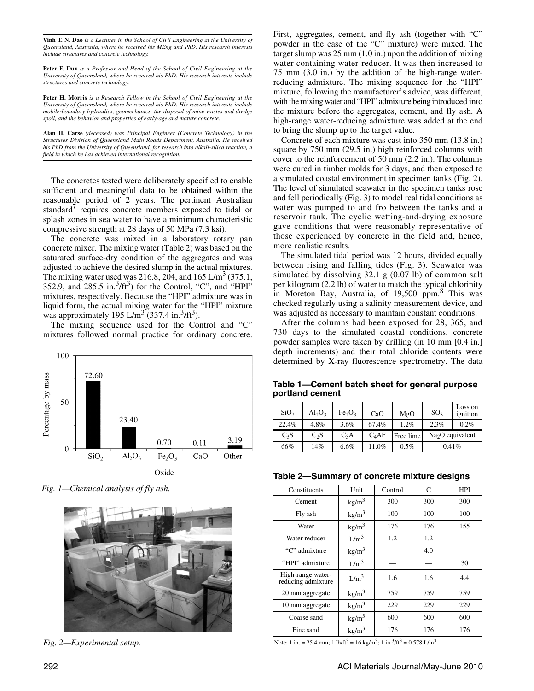**Vinh T. N. Dao** *is a Lecturer in the School of Civil Engineering at the University of Queensland, Australia, where he received his MEng and PhD. His research interests include structures and concrete technology.*

**Peter F. Dux** *is a Professor and Head of the School of Civil Engineering at the University of Queensland, where he received his PhD. His research interests include structures and concrete technology.*

**Peter H. Morris** *is a Research Fellow in the School of Civil Engineering at the University of Queensland, where he received his PhD. His research interests include mobile-boundary hydraulics, geomechanics, the disposal of mine wastes and dredge spoil, and the behavior and properties of early-age and mature concrete.*

**Alan H. Carse** *(deceased) was Principal Engineer (Concrete Technology) in the Structures Division of Queensland Main Roads Department, Australia. He received his PhD from the University of Queensland, for research into alkali-silica reaction, a field in which he has achieved international recognition.*

The concretes tested were deliberately specified to enable sufficient and meaningful data to be obtained within the reasonable period of 2 years. The pertinent Australian standard<sup>7</sup> requires concrete members exposed to tidal or splash zones in sea water to have a minimum characteristic compressive strength at 28 days of 50 MPa (7.3 ksi).

The concrete was mixed in a laboratory rotary pan concrete mixer. The mixing water (Table 2) was based on the saturated surface-dry condition of the aggregates and was adjusted to achieve the desired slump in the actual mixtures. The mixing water used was 216.8, 204, and 165 L/m<sup>3</sup> (375.1, 352.9, and 285.5 in. $3/ft^3$ ) for the Control, "C", and "HPI" mixtures, respectively. Because the "HPI" admixture was in liquid form, the actual mixing water for the "HPI" mixture was approximately 195 L/m<sup>3</sup> (337.4 in.<sup>3</sup>/ft<sup>3</sup>).

The mixing sequence used for the Control and "C" mixtures followed normal practice for ordinary concrete.



*Fig. 1—Chemical analysis of fly ash.*



First, aggregates, cement, and fly ash (together with "C" powder in the case of the "C" mixture) were mixed. The target slump was 25 mm (1.0 in.) upon the addition of mixing water containing water-reducer. It was then increased to 75 mm (3.0 in.) by the addition of the high-range waterreducing admixture. The mixing sequence for the "HPI" mixture, following the manufacturer's advice, was different, with the mixing water and "HPI" admixture being introduced into the mixture before the aggregates, cement, and fly ash. A high-range water-reducing admixture was added at the end to bring the slump up to the target value.

Concrete of each mixture was cast into 350 mm (13.8 in.) square by 750 mm (29.5 in.) high reinforced columns with cover to the reinforcement of 50 mm (2.2 in.). The columns were cured in timber molds for 3 days, and then exposed to a simulated coastal environment in specimen tanks (Fig. 2). The level of simulated seawater in the specimen tanks rose and fell periodically (Fig. 3) to model real tidal conditions as water was pumped to and fro between the tanks and a reservoir tank. The cyclic wetting-and-drying exposure gave conditions that were reasonably representative of those experienced by concrete in the field and, hence, more realistic results.

The simulated tidal period was 12 hours, divided equally between rising and falling tides (Fig. 3). Seawater was simulated by dissolving 32.1 g (0.07 lb) of common salt per kilogram (2.2 lb) of water to match the typical chlorinity in Moreton Bay, Australia, of 19,500 ppm.<sup>8</sup> This was checked regularly using a salinity measurement device, and was adjusted as necessary to maintain constant conditions.

After the columns had been exposed for 28, 365, and 730 days to the simulated coastal conditions, concrete powder samples were taken by drilling (in 10 mm [0.4 in.] depth increments) and their total chloride contents were determined by X-ray fluorescence spectrometry. The data

**Table 1—Cement batch sheet for general purpose portland cement**

| SiO <sub>2</sub> | $Al_2O_3$        | Fe <sub>2</sub> O <sub>3</sub> | CaO               | MgO       | SO <sub>3</sub>   | Loss on<br>ignition |
|------------------|------------------|--------------------------------|-------------------|-----------|-------------------|---------------------|
| 22.4%            | 4.8%             | 3.6%                           | 67.4%             | 1.2%      | 2.3%              | 0.2%                |
| $C_3S$           | C <sub>2</sub> S | $C_3A$                         | C <sub>A</sub> AF | Free lime | $Na2O$ equivalent |                     |
| 66%              | 14%              | $6.6\%$                        | 11.0%             | 0.5%      | 0.41%             |                     |

| Table 2-Summary of concrete mixture designs |  |  |
|---------------------------------------------|--|--|
|---------------------------------------------|--|--|

| Constituents                            | Unit              | Control | C   | <b>HPI</b> |  |
|-----------------------------------------|-------------------|---------|-----|------------|--|
| Cement                                  | $\text{kg/m}^3$   | 300     | 300 | 300        |  |
| Fly ash                                 | kg/m <sup>3</sup> | 100     | 100 | 100        |  |
| Water                                   | kg/m <sup>3</sup> | 176     | 176 | 155        |  |
| Water reducer                           | L/m <sup>3</sup>  | 1.2     | 1.2 |            |  |
| "C" admixture                           | kg/m <sup>3</sup> |         | 4.0 |            |  |
| "HPI" admixture                         | L/m <sup>3</sup>  |         |     | 30         |  |
| High-range water-<br>reducing admixture | L/m <sup>3</sup>  | 1.6     | 1.6 | 4.4        |  |
| 20 mm aggregate                         | kg/m <sup>3</sup> | 759     | 759 | 759        |  |
| 10 mm aggregate                         | kg/m <sup>3</sup> | 229     | 229 | 229        |  |
| Coarse sand                             | kg/m <sup>3</sup> | 600     | 600 | 600        |  |
| Fine sand                               | kg/m <sup>3</sup> | 176     | 176 | 176        |  |

*Fig. 2—Experimental setup.* Note: 1 in. = 25.4 mm; 1 lb/ft<sup>3</sup> = 16 kg/m<sup>3</sup>; 1 in.<sup>3</sup>/ft<sup>3</sup> = 0.578 L/m<sup>3</sup>.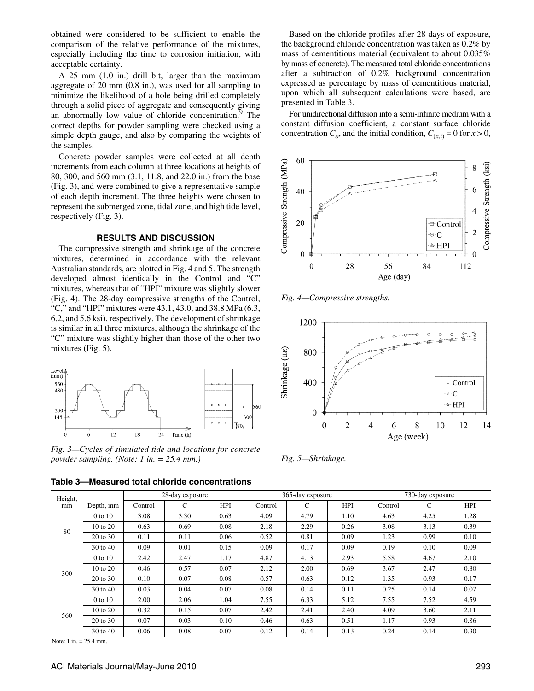obtained were considered to be sufficient to enable the comparison of the relative performance of the mixtures, especially including the time to corrosion initiation, with acceptable certainty.

A 25 mm (1.0 in.) drill bit, larger than the maximum aggregate of 20 mm (0.8 in.), was used for all sampling to minimize the likelihood of a hole being drilled completely through a solid piece of aggregate and consequently giving an abnormally low value of chloride concentration.<sup>9</sup> The correct depths for powder sampling were checked using a simple depth gauge, and also by comparing the weights of the samples.

Concrete powder samples were collected at all depth increments from each column at three locations at heights of 80, 300, and 560 mm (3.1, 11.8, and 22.0 in.) from the base (Fig. 3), and were combined to give a representative sample of each depth increment. The three heights were chosen to represent the submerged zone, tidal zone, and high tide level, respectively (Fig. 3).

## **RESULTS AND DISCUSSION**

The compressive strength and shrinkage of the concrete mixtures, determined in accordance with the relevant Australian standards, are plotted in Fig. 4 and 5. The strength developed almost identically in the Control and "C" mixtures, whereas that of "HPI" mixture was slightly slower (Fig. 4). The 28-day compressive strengths of the Control, "C," and "HPI" mixtures were 43.1, 43.0, and 38.8 MPa (6.3, 6.2, and 5.6 ksi), respectively. The development of shrinkage is similar in all three mixtures, although the shrinkage of the "C" mixture was slightly higher than those of the other two mixtures (Fig. 5).



*Fig. 3—Cycles of simulated tide and locations for concrete powder sampling. (Note: 1 in. = 25.4 mm.)*

**Table 3—Measured total chloride concentrations**

Height, mm Depth, mm 28-day exposure 28-day exposure 28-day exposure 730-day exposure Control C HPI Control C HPI Control C HPI 80 0 to 10 | 3.08 | 3.30 | 0.63 | 4.09 | 4.79 | 1.10 | 4.63 | 4.25 | 1.28 10 to 20 0.63 0.69 0.08 2.18 2.29 0.26 3.08 3.13 0.39 20 to 30 | 0.11 | 0.11 | 0.06 | 0.52 | 0.81 | 0.09 | 1.23 | 0.99 | 0.10 30 to 40 0.09 0.01 0.15 0.09 0.17 0.09 0.19 0.10 0.09 300 0 to 10 | 2.42 | 2.47 | 1.17 | 4.87 | 4.13 | 2.93 | 5.58 | 4.67 | 2.10 10 to 20 0.46 0.57 0.07 2.12 2.00 0.69 3.67 2.47 0.80 20 to 30 | 0.10 | 0.07 | 0.08 | 0.57 | 0.63 | 0.12 | 1.35 | 0.93 | 0.17 30 to 40 0.03 0.04 0.07 0.08 0.14 0.11 0.25 0.14 0.07 560 0 to 10 | 2.00 | 2.06 | 1.04 | 7.55 | 6.33 | 5.12 | 7.55 | 7.52 | 4.59 10 to 20 | 0.32 | 0.15 | 0.07 | 2.42 | 2.41 | 2.40 | 4.09 | 3.60 | 2.11 20 to 30 0.07 0.03 0.10 0.46 0.63 0.51 1.17 0.93 0.86 30 to 40 0.06 0.08 0.07 0.12 0.14 0.13 0.24 0.14 0.30

Note: 1 in. = 25.4 mm.

ACI Materials Journal/May-June 2010 293 203

Based on the chloride profiles after 28 days of exposure, the background chloride concentration was taken as 0.2% by mass of cementitious material (equivalent to about 0.035% by mass of concrete). The measured total chloride concentrations after a subtraction of 0.2% background concentration expressed as percentage by mass of cementitious material, upon which all subsequent calculations were based, are presented in Table 3.

For unidirectional diffusion into a semi-infinite medium with a constant diffusion coefficient, a constant surface chloride concentration  $C_o$ , and the initial condition,  $C_{(x,t)} = 0$  for  $x > 0$ ,



*Fig. 4—Compressive strengths.*



*Fig. 5—Shrinkage.*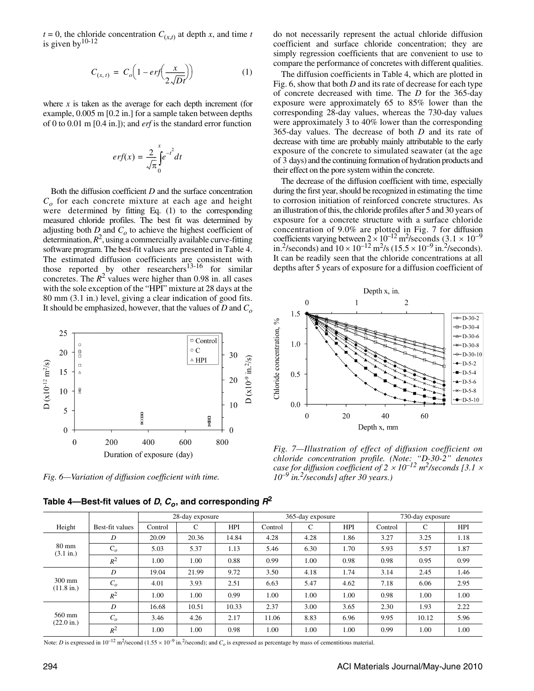$t = 0$ , the chloride concentration  $C_{(x,t)}$  at depth *x*, and time *t* is given by  $10-12$ 

$$
C_{(x,t)} = C_o \left( 1 - erf \left( \frac{x}{2\sqrt{Dt}} \right) \right) \tag{1}
$$

where  $x$  is taken as the average for each depth increment (for example, 0.005 m [0.2 in.] for a sample taken between depths of 0 to 0.01 m [0.4 in.]); and *erf* is the standard error function

$$
erf(x) = \frac{2}{\sqrt{\pi}} \int_{0}^{x} e^{-t^2} dt
$$

Both the diffusion coefficient *D* and the surface concentration  $C<sub>o</sub>$  for each concrete mixture at each age and height were determined by fitting Eq. (1) to the corresponding measured chloride profiles. The best fit was determined by adjusting both  $D$  and  $C<sub>o</sub>$  to achieve the highest coefficient of determination,  $R^2$ , using a commercially available curve-fitting software program. The best-fit values are presented in Table 4. The estimated diffusion coefficients are consistent with those reported by other researchers<sup>13-16</sup> for similar concretes. The  $R^2$  values were higher than 0.98 in. all cases with the sole exception of the "HPI" mixture at 28 days at the 80 mm (3.1 in.) level, giving a clear indication of good fits. It should be emphasized, however, that the values of *D* and *Co*



*Fig. 6—Variation of diffusion coefficient with time.*

Table 4—Best-fit values of *D*,  $C<sub>o</sub>$ , and corresponding  $R<sup>2</sup>$ 

do not necessarily represent the actual chloride diffusion coefficient and surface chloride concentration; they are simply regression coefficients that are convenient to use to compare the performance of concretes with different qualities.

The diffusion coefficients in Table 4, which are plotted in Fig. 6, show that both *D* and its rate of decrease for each type of concrete decreased with time. The *D* for the 365-day exposure were approximately 65 to 85% lower than the corresponding 28-day values, whereas the 730-day values were approximately 3 to 40% lower than the corresponding 365-day values. The decrease of both *D* and its rate of decrease with time are probably mainly attributable to the early exposure of the concrete to simulated seawater (at the age of 3 days) and the continuing formation of hydration products and their effect on the pore system within the concrete.

The decrease of the diffusion coefficient with time, especially during the first year, should be recognized in estimating the time to corrosion initiation of reinforced concrete structures. As an illustration of this, the chloride profiles after 5 and 30 years of exposure for a concrete structure with a surface chloride concentration of 9.0% are plotted in Fig. 7 for diffusion coefficients varying between  $2 \times 10^{-12}$  m<sup>2</sup>/seconds (3.1  $\times 10^{-9}$ in.<sup>2</sup>/seconds) and  $10 \times 10^{-12}$  m<sup>2</sup>/s (15.5  $\times 10^{-9}$  in.<sup>2</sup>/seconds). It can be readily seen that the chloride concentrations at all depths after 5 years of exposure for a diffusion coefficient of



*Fig. 7—Illustration of effect of diffusion coefficient on chloride concentration profile. (Note: "D-30-2" denotes case for diffusion coefficient of 2* × *10–12 m2 /seconds [3.1* × *10–9 in.2/seconds] after 30 years.)*

|                                          |                 | 28-day exposure |       |            | 365-day exposure |      |            | 730-day exposure |       |            |
|------------------------------------------|-----------------|-----------------|-------|------------|------------------|------|------------|------------------|-------|------------|
| Height                                   | Best-fit values | Control         | C     | <b>HPI</b> | Control          | C    | <b>HPI</b> | Control          | C     | <b>HPI</b> |
| $80 \text{ mm}$<br>$(3.1 \text{ in.})$   | D               | 20.09           | 20.36 | 14.84      | 4.28             | 4.28 | 1.86       | 3.27             | 3.25  | 1.18       |
|                                          | $C_{o}$         | 5.03            | 5.37  | 1.13       | 5.46             | 6.30 | 1.70       | 5.93             | 5.57  | 1.87       |
|                                          | $R^2$           | 1.00            | 1.00  | 0.88       | 0.99             | 1.00 | 0.98       | 0.98             | 0.95  | 0.99       |
| $300 \text{ mm}$<br>$(11.8 \text{ in.})$ | D               | 19.04           | 21.99 | 9.72       | 3.50             | 4.18 | 1.74       | 3.14             | 2.45  | 1.46       |
|                                          | $C_{o}$         | 4.01            | 3.93  | 2.51       | 6.63             | 5.47 | 4.62       | 7.18             | 6.06  | 2.95       |
|                                          | $R^2$           | 1.00            | 1.00  | 0.99       | 1.00             | 1.00 | 1.00       | 0.98             | 1.00  | 1.00       |
| 560 mm<br>$(22.0 \text{ in.})$           | D               | 16.68           | 10.51 | 10.33      | 2.37             | 3.00 | 3.65       | 2.30             | 1.93  | 2.22       |
|                                          | C <sub>o</sub>  | 3.46            | 4.26  | 2.17       | 11.06            | 8.83 | 6.96       | 9.95             | 10.12 | 5.96       |
|                                          | $R^2$           | 1.00            | 1.00  | 0.98       | 1.00             | 1.00 | 1.00       | 0.99             | 1.00  | 1.00       |

Note: *D* is expressed in  $10^{-12}$  m<sup>2</sup>/second (1.55 × 10<sup>-9</sup> in.<sup>2</sup>/second); and *C<sub>o</sub>* is expressed as percentage by mass of cementitious material.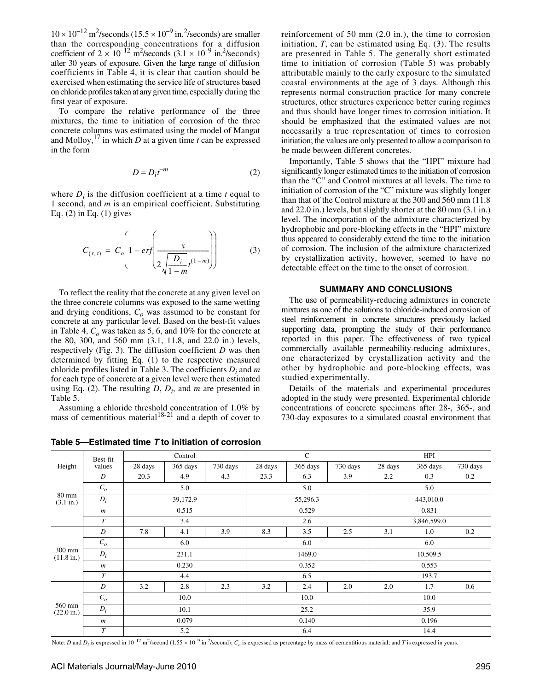$10 \times 10^{-12}$  m<sup>2</sup>/seconds (15.5  $\times 10^{-9}$  in.<sup>2</sup>/seconds) are smaller than the corresponding concentrations for a diffusion coefficient of  $2 \times 10^{-12}$  m<sup>2</sup>/seconds (3.1  $\times 10^{-9}$  in.<sup>2</sup>/seconds) after 30 years of exposure. Given the large range of diffusion coefficients in Table 4, it is clear that caution should be exercised when estimating the service life of structures based on chloride profiles taken at any given time, especially during the first year of exposure.

To compare the relative performance of the three mixtures, the time to initiation of corrosion of the three concrete columns was estimated using the model of Mangat and Molloy,<sup>17</sup> in which *D* at a given time *t* can be expressed in the form

$$
D = D_i t^{-m} \tag{2}
$$

where  $D_i$  is the diffusion coefficient at a time  $t$  equal to 1 second, and *m* is an empirical coefficient. Substituting Eq. (2) in Eq. (1) gives

$$
C_{(x, t)} = C_o \left( 1 - erf \left( \frac{x}{2 \sqrt{\frac{D_i}{1 - m}} t^{(1 - m)}} \right) \right)
$$
 (3)

To reflect the reality that the concrete at any given level on the three concrete columns was exposed to the same wetting and drying conditions,  $C<sub>o</sub>$  was assumed to be constant for concrete at any particular level. Based on the best-fit values in Table 4,  $C<sub>o</sub>$  was taken as 5, 6, and 10% for the concrete at the 80, 300, and 560 mm (3.1, 11.8, and 22.0 in.) levels, respectively (Fig. 3). The diffusion coefficient *D* was then determined by fitting Eq. (1) to the respective measured chloride profiles listed in Table 3. The coefficients *Di* and *m* for each type of concrete at a given level were then estimated using Eq. (2). The resulting  $D$ ,  $D_i$ , and  $m$  are presented in Table 5.

Assuming a chloride threshold concentration of 1.0% by mass of cementitious material<sup>18-21</sup> and a depth of cover to

**Table 5—Estimated time** *T* **to initiation of corrosion**

reinforcement of 50 mm (2.0 in.), the time to corrosion initiation,  $T$ , can be estimated using Eq.  $(3)$ . The results are presented in Table 5. The generally short estimated time to initiation of corrosion (Table 5) was probably attributable mainly to the early exposure to the simulated coastal environments at the age of 3 days. Although this represents normal construction practice for many concrete structures, other structures experience better curing regimes and thus should have longer times to corrosion initiation. It should be emphasized that the estimated values are not necessarily a true representation of times to corrosion initiation; the values are only presented to allow a comparison to be made between different concretes.

Importantly, Table 5 shows that the "HPI" mixture had significantly longer estimated times to the initiation of corrosion than the "C" and Control mixtures at all levels. The time to initiation of corrosion of the "C" mixture was slightly longer than that of the Control mixture at the 300 and 560 mm (11.8 and 22.0 in.) levels, but slightly shorter at the 80 mm (3.1 in.) level. The incorporation of the admixture characterized by hydrophobic and pore-blocking effects in the "HPI" mixture thus appeared to considerably extend the time to the initiation of corrosion. The inclusion of the admixture characterized by crystallization activity, however, seemed to have no detectable effect on the time to the onset of corrosion.

#### **SUMMARY AND CONCLUSIONS**

The use of permeability-reducing admixtures in concrete mixtures as one of the solutions to chloride-induced corrosion of steel reinforcement in concrete structures previously lacked supporting data, prompting the study of their performance reported in this paper. The effectiveness of two typical commercially available permeability-reducing admixtures, one characterized by crystallization activity and the other by hydrophobic and pore-blocking effects, was studied experimentally.

Details of the materials and experimental procedures adopted in the study were presented. Experimental chloride concentrations of concrete specimens after 28-, 365-, and 730-day exposures to a simulated coastal environment that

|                                | Best-fit         | Control  |          |          | $\mathsf{C}$ |          |          | HPI         |          |          |
|--------------------------------|------------------|----------|----------|----------|--------------|----------|----------|-------------|----------|----------|
| Height                         | values           | 28 days  | 365 days | 730 days | 28 days      | 365 days | 730 days | 28 days     | 365 days | 730 days |
| 80 mm<br>(3.1 in.)             | D                | 20.3     | 4.9      | 4.3      | 23.3         | 6.3      | 3.9      | 2.2         | 0.3      | 0.2      |
|                                | C <sub>o</sub>   | 5.0      |          |          | 5.0          |          |          | 5.0         |          |          |
|                                | $D_i$            | 39,172.9 |          |          | 55,296.3     |          |          | 443,010.0   |          |          |
|                                | $\boldsymbol{m}$ | 0.515    |          |          | 0.529        |          |          | 0.831       |          |          |
|                                | $\overline{T}$   | 3.4      |          |          | 2.6          |          |          | 3,846,599.0 |          |          |
| 300 mm<br>$(11.8 \text{ in.})$ | $\boldsymbol{D}$ | 7.8      | 4.1      | 3.9      | 8.3          | 3.5      | 2.5      | 3.1         | 1.0      | 0.2      |
|                                | C <sub>o</sub>   | 6.0      |          |          | 6.0          |          |          | 6.0         |          |          |
|                                | $D_i$            | 231.1    |          |          | 1469.0       |          |          | 10,509.5    |          |          |
|                                | $\boldsymbol{m}$ | 0.230    |          |          | 0.352        |          |          | 0.553       |          |          |
|                                | $\overline{T}$   | 4.4      |          |          | 6.5          |          |          | 193.7       |          |          |
| 560 mm<br>$(22.0 \text{ in.})$ | $\boldsymbol{D}$ | 3.2      | 2.8      | 2.3      | 3.2          | 2.4      | 2.0      | 2.0         | 1.7      | 0.6      |
|                                | $C_o$            | 10.0     |          |          | 10.0         |          |          | 10.0        |          |          |
|                                | $D_i$            | 10.1     |          |          | 25.2         |          |          | 35.9        |          |          |
|                                | $\boldsymbol{m}$ | 0.079    |          |          | 0.140        |          |          | 0.196       |          |          |
|                                | $\boldsymbol{T}$ | 5.2      |          |          | 6.4          |          |          | 14.4        |          |          |

Note: *D* and  $D_i$  is expressed in 10<sup>-12</sup> m<sup>2</sup>/second (1.55 × 10<sup>-9</sup> in.<sup>2</sup>/second);  $C_o$  is expressed as percentage by mass of cementitious material; and *T* is expressed in years.